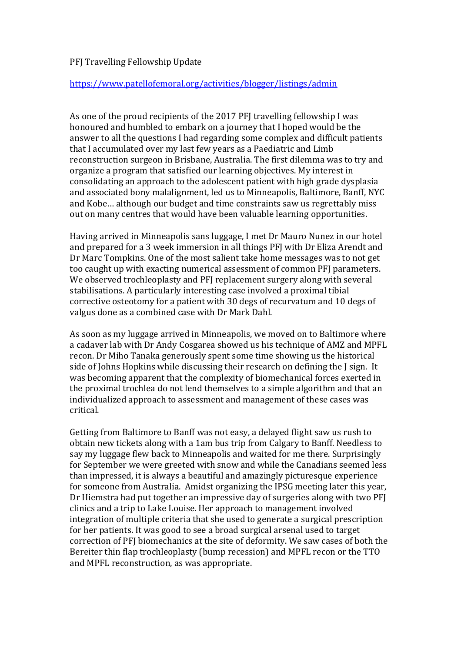## PFJ Travelling Fellowship Update

## https://www.patellofemoral.org/activities/blogger/listings/admin

As one of the proud recipients of the 2017 PFJ travelling fellowship I was honoured and humbled to embark on a journey that I hoped would be the answer to all the questions I had regarding some complex and difficult patients that I accumulated over my last few years as a Paediatric and Limb reconstruction surgeon in Brisbane, Australia. The first dilemma was to try and organize a program that satisfied our learning objectives. My interest in consolidating an approach to the adolescent patient with high grade dysplasia and associated bony malalignment, led us to Minneapolis, Baltimore, Banff, NYC and Kobe... although our budget and time constraints saw us regrettably miss out on many centres that would have been valuable learning opportunities.

Having arrived in Minneapolis sans luggage, I met Dr Mauro Nunez in our hotel and prepared for a 3 week immersion in all things PFJ with Dr Eliza Arendt and Dr Marc Tompkins. One of the most salient take home messages was to not get too caught up with exacting numerical assessment of common PFI parameters. We observed trochleoplasty and PFJ replacement surgery along with several stabilisations. A particularly interesting case involved a proximal tibial corrective osteotomy for a patient with 30 degs of recurvatum and 10 degs of valgus done as a combined case with Dr Mark Dahl.

As soon as my luggage arrived in Minneapolis, we moved on to Baltimore where a cadaver lab with Dr Andy Cosgarea showed us his technique of AMZ and MPFL recon. Dr Miho Tanaka generously spent some time showing us the historical side of Johns Hopkins while discussing their research on defining the J sign. It was becoming apparent that the complexity of biomechanical forces exerted in the proximal trochlea do not lend themselves to a simple algorithm and that an individualized approach to assessment and management of these cases was critical. 

Getting from Baltimore to Banff was not easy, a delayed flight saw us rush to obtain new tickets along with a 1am bus trip from Calgary to Banff. Needless to say my luggage flew back to Minneapolis and waited for me there. Surprisingly for September we were greeted with snow and while the Canadians seemed less than impressed, it is always a beautiful and amazingly picturesque experience for someone from Australia. Amidst organizing the IPSG meeting later this year, Dr Hiemstra had put together an impressive day of surgeries along with two PFI clinics and a trip to Lake Louise. Her approach to management involved integration of multiple criteria that she used to generate a surgical prescription for her patients. It was good to see a broad surgical arsenal used to target correction of PFI biomechanics at the site of deformity. We saw cases of both the Bereiter thin flap trochleoplasty (bump recession) and MPFL recon or the TTO and MPFL reconstruction, as was appropriate.